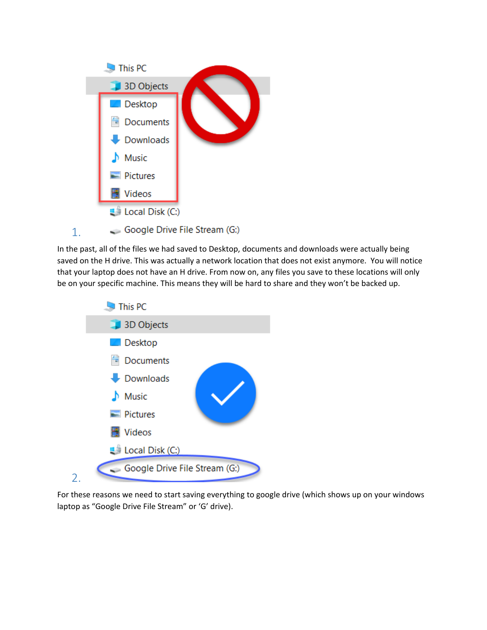

In the past, all of the files we had saved to Desktop, documents and downloads were actually being saved on the H drive. This was actually a network location that does not exist anymore. You will notice that your laptop does not have an H drive. From now on, any files you save to these locations will only be on your specific machine. This means they will be hard to share and they won't be backed up.



For these reasons we need to start saving everything to google drive (which shows up on your windows laptop as "Google Drive File Stream" or 'G' drive).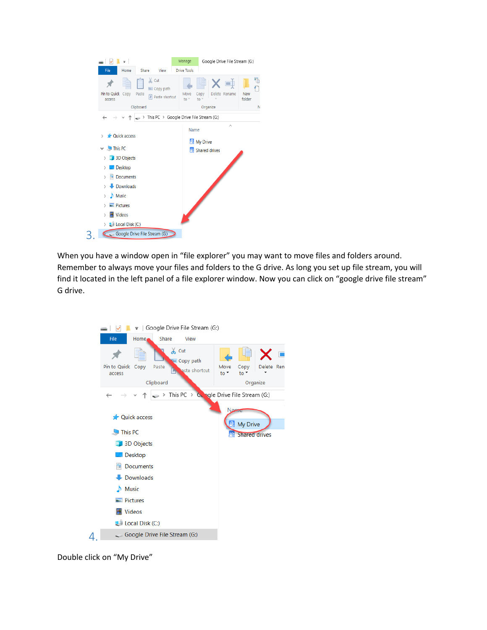|                                                                                                                                                                                                                                                     |                                                                       | Manage                | Google Drive File Stream (G:)                 |                         |
|-----------------------------------------------------------------------------------------------------------------------------------------------------------------------------------------------------------------------------------------------------|-----------------------------------------------------------------------|-----------------------|-----------------------------------------------|-------------------------|
| File<br>Home                                                                                                                                                                                                                                        | Share<br>View                                                         | <b>Drive Tools</b>    |                                               |                         |
| Pin to Quick<br>Copy<br>access                                                                                                                                                                                                                      | & Cut<br>W- Copy path<br>Paste<br>न्नि<br>Paste shortcut<br>Clipboard | Move<br>$\frac{1}{2}$ | cþ<br>Delete Rename<br>Copy<br>to<br>Organize | 品<br>New<br>folder<br>N |
| $\leftarrow$                                                                                                                                                                                                                                        | $\Rightarrow$ This PC > Google Drive File Stream (G:)                 |                       |                                               |                         |
| <b>Quick access</b><br>$\rightarrow$<br>$\vee$ This PC<br>3D Objects<br>⋋<br>Desktop<br>↘<br>Documents<br>骨<br>Downloads<br>$M$ Music<br>↘<br>$=$ Pictures<br>$\mathcal{E}$<br>Videos<br>$\mathcal{E}$<br><b>E</b> Local Disk (C:)<br>$\mathcal{E}$ |                                                                       | Name                  | $\wedge$<br>My Drive<br>Shared drives         |                         |
|                                                                                                                                                                                                                                                     | Google Drive File Stream (G:)                                         |                       |                                               |                         |

When you have a window open in "file explorer" you may want to move files and folders around. Remember to always move your files and folders to the G drive. As long you set up file stream, you will find it located in the left panel of a file explorer window. Now you can click on "google drive file stream" G drive.



Double click on "My Drive"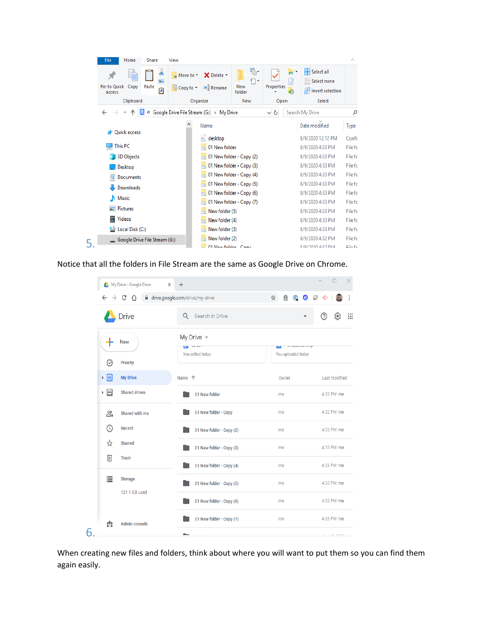| <b>File</b><br>Home            | <b>Share</b><br>View                       |                                              |                               |                                       |                   |                     |                                                         |             |
|--------------------------------|--------------------------------------------|----------------------------------------------|-------------------------------|---------------------------------------|-------------------|---------------------|---------------------------------------------------------|-------------|
| Pin to Quick<br>Copy<br>access | Φ<br>$W$<br>Paste<br>同                     | $\triangle$ Move to $\triangle$<br>Copy to - | X Delete *<br><b>二</b> Rename | $\mathbb{R}$ .<br>f١<br>New<br>folder | Properties        | n"<br>$\mathcal{C}$ | Select all<br>Select none<br><b>He Invert selection</b> |             |
| Clipboard                      |                                            | Organize                                     |                               | New                                   | Open              |                     | Select                                                  |             |
|                                | « Google Drive File Stream (G:) > My Drive |                                              |                               |                                       | Ö<br>$\checkmark$ |                     | Search My Drive                                         | مر          |
| Quick access                   |                                            |                                              | Name                          |                                       |                   |                     | Date modified                                           | <b>Type</b> |
|                                |                                            |                                              | desktop                       |                                       |                   |                     | 8/9/2020 12:12 PM                                       | Confir      |
| This PC                        |                                            |                                              | 01 New folder                 |                                       |                   |                     | 8/9/2020 4:33 PM                                        | File fo     |
| <b>3D Objects</b>              |                                            |                                              | 01 New folder - Copy (2)      |                                       |                   |                     | 8/9/2020 4:33 PM                                        | File fo     |
| Desktop                        |                                            |                                              | 01 New folder - Copy (3)      |                                       |                   |                     | 8/9/2020 4:33 PM                                        | File fo     |
| 曽<br>Documents                 |                                            |                                              | 01 New folder - Copy (4)      |                                       |                   |                     | 8/9/2020 4:33 PM                                        | File fo     |
| Downloads                      |                                            |                                              | 01 New folder - Copy (5)      |                                       |                   |                     | 8/9/2020 4:33 PM                                        | File fo     |
| Music<br>J).                   |                                            |                                              | 01 New folder - Copy (6)      |                                       |                   |                     | 8/9/2020 4:33 PM                                        | File fo     |
|                                |                                            |                                              | 01 New folder - Copy (7)      |                                       |                   |                     | 8/9/2020 4:33 PM                                        | File fo     |
| Pictures                       |                                            |                                              | New folder (5)                |                                       |                   |                     | 8/9/2020 4:33 PM                                        | File fo     |
| <b>Videos</b>                  |                                            |                                              | New folder (4)                |                                       |                   |                     | 8/9/2020 4:33 PM                                        | File fo     |
| " Local Disk (C:)              |                                            |                                              | New folder (3)                |                                       |                   |                     | 8/9/2020 4:33 PM                                        | File fo     |
| Google Drive File Stream (G:)  |                                            |                                              | New folder (2)                |                                       |                   |                     | 8/9/2020 4:32 PM                                        | File fo     |
|                                |                                            |                                              | 01 Now folder Copy            |                                       |                   |                     | 07072020 4-22 BM                                        | Eile fe     |

Notice that all the folders in File Stream are the same as Google Drive on Chrome.

| My Drive - Google Drive<br>×                 | $\ddot{}$                                                         |                                    | $\Box$<br>×        |
|----------------------------------------------|-------------------------------------------------------------------|------------------------------------|--------------------|
| CΛ<br>$\leftarrow$<br>$\rightarrow$          | ■ drive.google.com/drive/my-drive                                 | $\bullet$ $\bullet$<br>爵<br>☆<br>ଲ |                    |
| Drive                                        | Q Search in Drive                                                 |                                    | ⊚<br>$\mathbf{ii}$ |
| New                                          | My Drive $\sim$<br><b>IV UV</b><br><b>COL</b><br>You edited today | w<br>You uploaded today            |                    |
| ☑<br>Priority                                |                                                                   |                                    |                    |
| $\triangleright$ $\Delta$<br><b>My Drive</b> | Name 个                                                            | Owner                              | Last modified      |
| ≅ ⊀<br><b>Shared drives</b>                  | 01 New folder                                                     | me                                 | 4:33 PM me         |
| న్ని<br>Shared with me                       | 01 New folder - Copy                                              | me                                 | 4:32 PM me         |
| $\circledcirc$<br><b>Recent</b>              | 01 New folder - Copy (2)                                          | me                                 | 4:33 PM me         |
| ☆<br><b>Starred</b>                          | 01 New folder - Copy (3)                                          | me                                 | 4:33 PM me         |
| 面<br>Trash                                   | 01 New folder - Copy (4)                                          | me                                 | 4:33 PM me         |
| 三<br><b>Storage</b>                          | 01 New folder - Copy (5)                                          | me                                 | 4:33 PM me         |
| 121.1 GB used                                | 01 New folder - Copy (6)                                          | me                                 | 4:33 PM me         |
| <b>Admin console</b><br>th                   | 01 New folder - Copy (7)                                          | me                                 | 4:33 PM me         |
| 6                                            |                                                                   |                                    | $\cdots$           |

When creating new files and folders, think about where you will want to put them so you can find them again easily.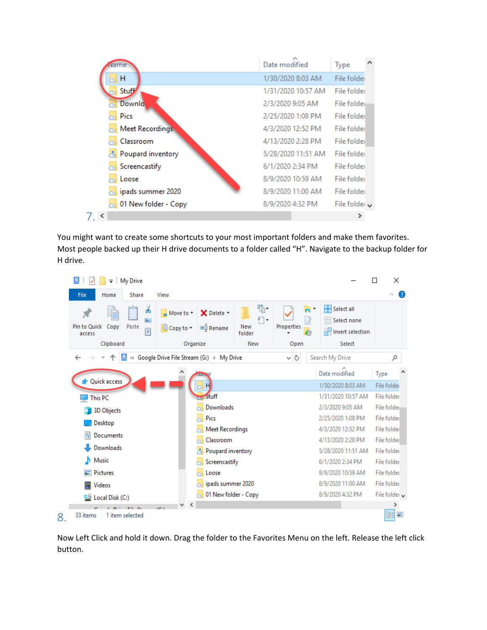| Name                     | Date modified      | ́<br>Type          |
|--------------------------|--------------------|--------------------|
| H                        | 1/30/2020 8:03 AM  | File folder        |
| <b>Stuff</b>             | 1/31/2020 10:57 AM | File folder        |
| <b>Downlo</b>            | 2/3/2020 9:05 AM   | File folder        |
| Pics                     | 2/25/2020 1:08 PM  | File folder        |
| Meet Recordings          | 4/3/2020 12:52 PM  | File folder        |
| Classroom                | 4/13/2020 2:28 PM  | File folder        |
| Poupard inventory        | 5/28/2020 11:51 AM | File folder        |
| Screencastify            | 6/1/2020 2:34 PM   | File folder        |
| Loose                    | 8/9/2020 10:59 AM  | File folder        |
| $\sim$ ipads summer 2020 | 8/9/2020 11:00 AM  | File folder        |
| 01 New folder - Copy     | 8/9/2020 4:32 PM   | File folder $\vee$ |
|                          |                    |                    |

You might want to create some shortcuts to your most important folders and make them favorites. Most people backed up their H drive documents to a folder called "H". Navigate to the backup folder for H drive.

| $\bullet$<br>My Drive<br>$\overline{\phantom{a}}$        |                                                                           |                           |                                        |                                                                      | X<br>П               |
|----------------------------------------------------------|---------------------------------------------------------------------------|---------------------------|----------------------------------------|----------------------------------------------------------------------|----------------------|
| File<br>Share<br>Home                                    | View                                                                      |                           |                                        |                                                                      | Ø<br>$\wedge$        |
| ൴<br>$W$<br>Pin to Quick<br>Copy<br>Paste<br>同<br>access | X Delete -<br>$\triangle$ Move to $\star$<br>om<br>Rename<br>Li Copy to ▼ | 喢-<br>f١<br>New<br>folder | $\blacksquare$<br>λ<br>Properties<br>ℯ | HH<br>Select all<br>$\frac{100}{100}$ Select none<br><b>Relation</b> |                      |
| Clipboard                                                | Organize                                                                  | New                       | Open                                   | Select                                                               |                      |
| $\leftarrow$                                             | « Google Drive File Stream (G:) > My Drive                                |                           | Ō<br>$\checkmark$                      | Search My Drive                                                      | مر                   |
| <b>A</b> Quick access                                    | Ndi.                                                                      |                           |                                        | Date modified                                                        | Type                 |
|                                                          |                                                                           |                           |                                        | 1/30/2020 8:03 AM                                                    | File folder          |
| <b>This PC</b>                                           | Stuff                                                                     |                           |                                        | 1/31/2020 10:57 AM                                                   | File folder          |
| 3D Objects                                               | Downloads                                                                 |                           |                                        | 2/3/2020 9:05 AM                                                     | File folder          |
| Desktop                                                  | Pics                                                                      |                           |                                        | 2/25/2020 1:08 PM                                                    | File folder          |
|                                                          | <b>Meet Recordings</b>                                                    |                           |                                        | 4/3/2020 12:52 PM                                                    | File folder          |
| 雈<br>Documents                                           | Classroom                                                                 |                           |                                        | 4/13/2020 2:28 PM                                                    | File folder          |
| Downloads                                                | Poupard inventory                                                         |                           |                                        | 5/28/2020 11:51 AM                                                   | File folder          |
| Music<br>h                                               | Screencastify                                                             |                           |                                        | 6/1/2020 2:34 PM                                                     | File folder          |
| $\blacksquare$ Pictures                                  | Loose                                                                     |                           |                                        | 8/9/2020 10:59 AM                                                    | File folder          |
| 譻<br>Videos                                              | ipads summer 2020                                                         |                           |                                        | 8/9/2020 11:00 AM                                                    | File folder          |
| <b>Example 2</b> Local Disk (C:)                         | 01 New folder - Copy                                                      |                           |                                        | 8/9/2020 4:32 PM                                                     | File folder $\vee$   |
|                                                          | $\overline{1}$                                                            |                           |                                        |                                                                      | ⋗                    |
| 1 item selected<br>33 items<br>8.                        |                                                                           |                           |                                        |                                                                      | 胂<br><b>Resident</b> |

Now Left Click and hold it down. Drag the folder to the Favorites Menu on the left. Release the left click button.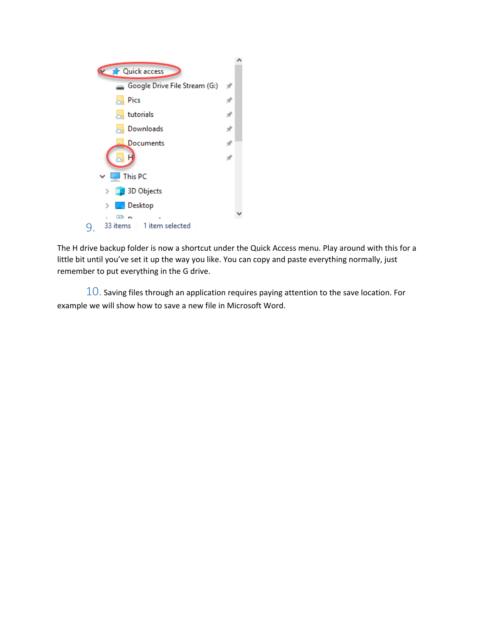

The H drive backup folder is now a shortcut under the Quick Access menu. Play around with this for a little bit until you've set it up the way you like. You can copy and paste everything normally, just remember to put everything in the G drive.

 $10.$  Saving files through an application requires paying attention to the save location. For example we will show how to save a new file in Microsoft Word.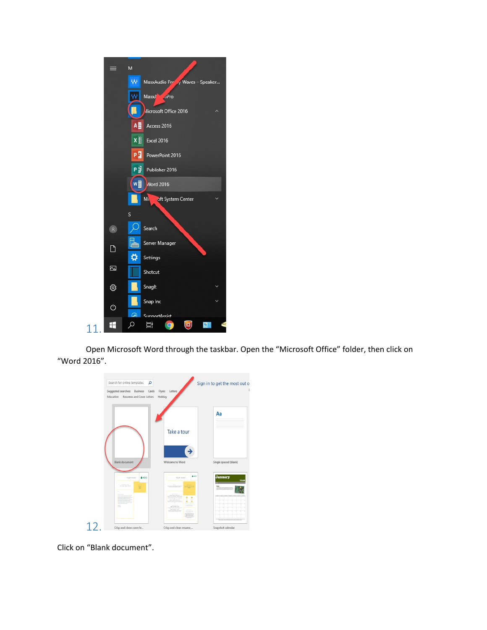

Open Microsoft Word through the taskbar. Open the "Microsoft Office" folder, then click on "Word 2016".

| Search for online templates<br>α       |                           | Sign in to get the most out o |
|----------------------------------------|---------------------------|-------------------------------|
| Suggested searches: Business<br>Cards  | Letters<br>Flyers         |                               |
| Education<br>Resumes and Cover Letters | Holiday                   |                               |
|                                        |                           | Aa                            |
|                                        | Take a tour               |                               |
|                                        |                           |                               |
| <b>Blank document</b>                  | Welcome to Word           | Single spaced (blank)         |
| <b>AMOO</b><br>YOUR NAME               | <b>4</b> MOO<br>YOUR NAME | <b>January</b>                |
| <b>RECEIVED</b>                        |                           |                               |
|                                        | ۹<br>٠                    |                               |
|                                        |                           |                               |
| 12                                     |                           |                               |

Click on "Blank document".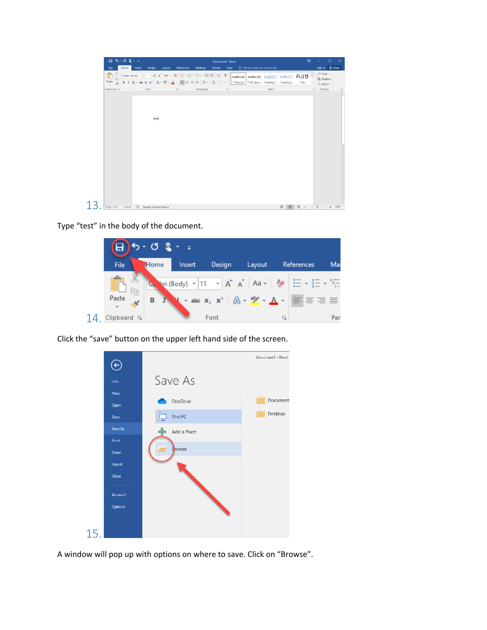

Type "test" in the body of the document.

|     | $\Box$ 5 - 0 $\Omega$ - = |   |      |                                                                                                                                                                               |   |            |      |
|-----|---------------------------|---|------|-------------------------------------------------------------------------------------------------------------------------------------------------------------------------------|---|------------|------|
|     | <b>File</b>               |   |      | Home Insert Design Layout                                                                                                                                                     |   | References | Mai  |
|     | Ee                        |   |      | C. "ari (Body) $\sqrt{11}$ $\sqrt{A^4}$ $\sqrt{A^4}$ Aa $\sqrt{24}$ $\sqrt{24}$ $\sqrt{24}$ $\sqrt{24}$ $\sqrt{24}$ $\sqrt{24}$                                               |   |            |      |
|     | Paste                     | B |      | <b>N</b> $\star$ abe $\mathbf{x}_2$ $\mathbf{x}^2$ $\left[\n\mathbf{A} \cdot \frac{\partial \mathbf{V}}{\partial x} \cdot \mathbf{A} \cdot \mathbf{B}\n\right] \equiv \equiv$ |   |            |      |
| 14. | Clipboard <sub>Is</sub>   |   | Font |                                                                                                                                                                               | 园 |            | Par. |

Click the "save" button on the upper left hand side of the screen.



A window will pop up with options on where to save. Click on "Browse".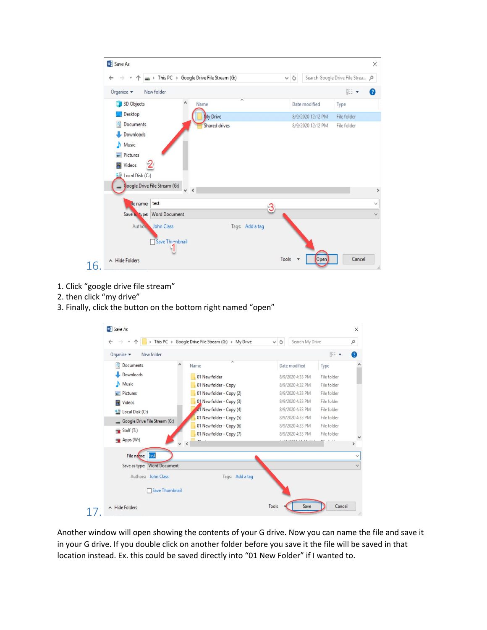| <b>NE</b> Save As                                                                                              |                   |                                  |
|----------------------------------------------------------------------------------------------------------------|-------------------|----------------------------------|
| > This PC > Google Drive File Stream (G:)<br>$\leftarrow$                                                      | $\circ$           | Search Google Drive File Strea P |
| Organize v<br>New folder                                                                                       |                   | <b>BEE</b><br>$\bullet$          |
| $\wedge$<br>3D Objects<br>Name                                                                                 | Date modified     | Type                             |
| Desktop<br>My Drive                                                                                            | 8/9/2020 12:12 PM | File folder                      |
| 曽<br>Documents<br><b>Shared drives</b><br>Downloads<br>Music<br>Pictures<br><b>图 Videos</b><br>Local Disk (C:) | 8/9/2020 12:12 PM | File folder                      |
|                                                                                                                |                   |                                  |
| Coogle Drive File Stream (G:)<br>$\times$<br>test<br>de name:<br>Save a type: Word Document                    |                   |                                  |

- 1. Click "google drive file stream"
- 2. then click "my drive"
- 3. Finally, click the button on the bottom right named "open"

|                                              | This PC > Google Drive File Stream (G:) > My Drive | Search My Drive<br>$\sim$ 0 |             | ۹             |
|----------------------------------------------|----------------------------------------------------|-----------------------------|-------------|---------------|
| New folder<br>Organize $\blacktriangleright$ |                                                    |                             | <b>BEF</b>  | Ø             |
| 醋<br><b>Documents</b><br>۸                   | Name                                               | Date modified               | Type        |               |
| Downloads                                    | 01 New folder                                      | 8/9/2020 4:33 PM            | File folder |               |
| Music                                        | 01 New folder - Copy                               | 8/9/2020 4:32 PM            | File folder |               |
| Pictures                                     | 01 New folder - Copy (2)                           | 8/9/2020 4:33 PM            | File folder |               |
| Videos                                       | 01 New folder - Copy (3)                           | 8/9/2020 4:33 PM            | File folder |               |
| Local Disk (C:)                              | 01 New folder - Copy (4)                           | 8/9/2020 4:33 PM            | File folder |               |
| Google Drive File Stream (G:)                | 01 New folder - Copy (5)                           | 8/9/2020 4:33 PM            | File folder |               |
| $\rightarrow$ Staff (T:)                     | 01 New folder - Copy (6)                           | 8/9/2020 4:33 PM            | File folder |               |
| Apps (W:)                                    | 01 New folder - Copy (7)                           | 8/9/2020 4:33 PM            | File folder |               |
|                                              |                                                    |                             |             | $\rightarrow$ |
| test<br>File name:                           |                                                    |                             |             | $\vee$        |
| Save as type: Word Document                  |                                                    |                             |             | $\checkmark$  |
| Authors: John Class                          | Tags: Add a tag                                    |                             |             |               |
|                                              |                                                    |                             |             |               |
| Save Thumbnail                               |                                                    |                             |             |               |
|                                              |                                                    |                             |             |               |

Another window will open showing the contents of your G drive. Now you can name the file and save it in your G drive. If you double click on another folder before you save it the file will be saved in that location instead. Ex. this could be saved directly into "01 New Folder" if I wanted to.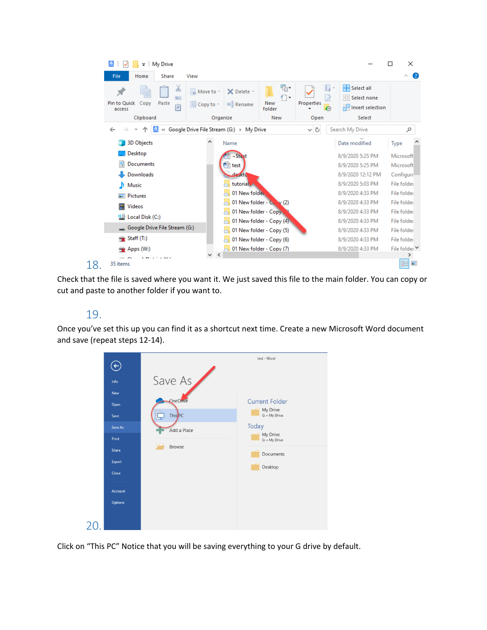| My Drive<br>$\overline{\phantom{a}}$                   |                                    |                                            |                               |            |                                     |                                                                | п             | ×                        |
|--------------------------------------------------------|------------------------------------|--------------------------------------------|-------------------------------|------------|-------------------------------------|----------------------------------------------------------------|---------------|--------------------------|
| File<br>Share<br>Home                                  | View                               |                                            |                               |            |                                     |                                                                |               | Œ<br>$\wedge$            |
| ക<br>W<br>Pin to Quick<br>Copy<br>Paste<br>同<br>access | Move to -<br>$\Box$ Copy to $\sim$ | X Delete -<br>三 Rename                     | 喢-<br>١÷<br>New<br>folder     | Properties | E.<br>$\overline{\gamma}$<br>2<br>ℯ | Select all<br>$\frac{1}{2}$ Select none<br>He Invert selection |               |                          |
| Clipboard                                              |                                    | Organize                                   | New                           | Open       |                                     | Select                                                         |               |                          |
| $\triangle$                                            |                                    | « Google Drive File Stream (G:) > My Drive |                               | ㆍ ひ        |                                     | Search My Drive                                                |               | مر                       |
| <b>3D Objects</b>                                      |                                    | Name                                       |                               |            |                                     | Date modified                                                  | Type          |                          |
| Desktop                                                |                                    | $~\sim$ Stest                              |                               |            |                                     | 8/9/2020 5:25 PM                                               | Microsoft     |                          |
| Documents                                              |                                    | test                                       |                               |            |                                     | 8/9/2020 5:25 PM                                               | Microsoft     |                          |
| Downloads                                              |                                    | de <sub>skto</sub>                         |                               |            |                                     | 8/9/2020 12:12 PM                                              | Configura     |                          |
| <b>N</b> Music                                         |                                    | tutorial.                                  |                               |            |                                     | 8/9/2020 5:03 PM                                               | File folder   |                          |
| Pictures                                               |                                    | 01 New folder                              |                               |            |                                     | 8/9/2020 4:33 PM                                               | File folder   |                          |
| <b>Videos</b>                                          |                                    |                                            | 01 New folder - $C_{v}$ v (2) |            |                                     | 8/9/2020 4:33 PM                                               | File folder   |                          |
| <b>Example 2</b> Local Disk (C:)                       |                                    | 01 New folder - Copy                       |                               |            |                                     | 8/9/2020 4:33 PM                                               | File folder   |                          |
|                                                        |                                    |                                            | 01 New folder - Copy (4)      |            |                                     | 8/9/2020 4:33 PM                                               | File folder   |                          |
| Google Drive File Stream (G:)                          |                                    |                                            | 01 New folder - Copy (5)      |            |                                     | 8/9/2020 4:33 PM                                               | File folder   |                          |
| $\Rightarrow$ Staff (T:)                               |                                    |                                            | 01 New folder - Copy (6)      |            |                                     | 8/9/2020 4:33 PM                                               | File folder   |                          |
| $\rightarrow$ Apps (W:)                                |                                    | 101 New folder - Copy (7)                  |                               |            |                                     | 8/9/2020 4:33 PM                                               | File folder V |                          |
| a marine and n<br>35 items<br>18.                      |                                    |                                            |                               |            |                                     |                                                                | 眒             | $\overline{\phantom{a}}$ |

Check that the file is saved where you want it. We just saved this file to the main folder. You can copy or cut and paste to another folder if you want to.

## 19.

Once you've set this up you can find it as a shortcut next time. Create a new Microsoft Word document and save (repeat steps 12-14).



Click on "This PC" Notice that you will be saving everything to your G drive by default.